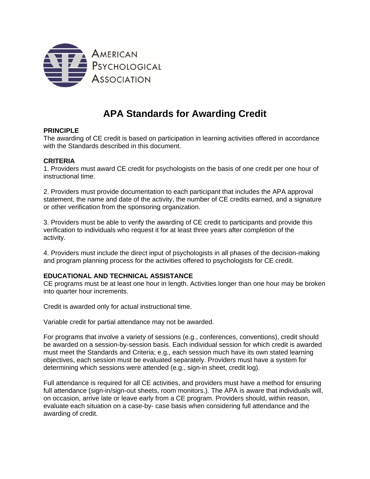

# **APA Standards for Awarding Credit**

## **PRINCIPLE**

The awarding of CE credit is based on participation in learning activities offered in accordance with the Standards described in this document.

## **CRITERIA**

1. Providers must award CE credit for psychologists on the basis of one credit per one hour of instructional time.

2. Providers must provide documentation to each participant that includes the APA approval statement, the name and date of the activity, the number of CE credits earned, and a signature or other verification from the sponsoring organization.

3. Providers must be able to verify the awarding of CE credit to participants and provide this verification to individuals who request it for at least three years after completion of the activity.

4. Providers must include the direct input of psychologists in all phases of the decision-making and program planning process for the activities offered to psychologists for CE credit.

#### **EDUCATIONAL AND TECHNICAL ASSISTANCE**

CE programs must be at least one hour in length. Activities longer than one hour may be broken into quarter hour increments.

Credit is awarded only for actual instructional time.

Variable credit for partial attendance may not be awarded.

For programs that involve a variety of sessions (e.g., conferences, conventions), credit should be awarded on a session-by-session basis. Each individual session for which credit is awarded must meet the Standards and Criteria; e.g., each session much have its own stated learning objectives, each session must be evaluated separately. Providers must have a system for determining which sessions were attended (e.g., sign-in sheet, credit log).

Full attendance is required for all CE activities, and providers must have a method for ensuring full attendance (sign-in/sign-out sheets, room monitors.). The APA is aware that individuals will, on occasion, arrive late or leave early from a CE program. Providers should, within reason, evaluate each situation on a case-by- case basis when considering full attendance and the awarding of credit.